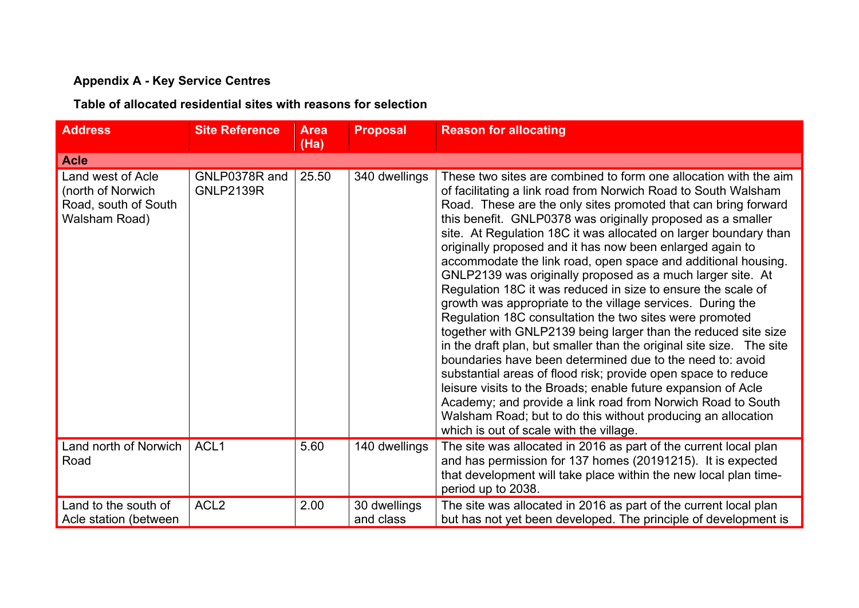## **Appendix A - Key Service Centres**

## **Table of allocated residential sites with reasons for selection**

| <b>Address</b>                                                                  | <b>Site Reference</b>             | <b>Area</b><br>(Ha) | <b>Proposal</b>           | <b>Reason for allocating</b>                                                                                                                                                                                                                                                                                                                                                                                                                                                                                                                                                                                                                                                                                                                                                                                                                                                                                                                                                                                                                                                                                                                                                                                                                    |
|---------------------------------------------------------------------------------|-----------------------------------|---------------------|---------------------------|-------------------------------------------------------------------------------------------------------------------------------------------------------------------------------------------------------------------------------------------------------------------------------------------------------------------------------------------------------------------------------------------------------------------------------------------------------------------------------------------------------------------------------------------------------------------------------------------------------------------------------------------------------------------------------------------------------------------------------------------------------------------------------------------------------------------------------------------------------------------------------------------------------------------------------------------------------------------------------------------------------------------------------------------------------------------------------------------------------------------------------------------------------------------------------------------------------------------------------------------------|
| <b>Acle</b>                                                                     |                                   |                     |                           |                                                                                                                                                                                                                                                                                                                                                                                                                                                                                                                                                                                                                                                                                                                                                                                                                                                                                                                                                                                                                                                                                                                                                                                                                                                 |
| Land west of Acle<br>(north of Norwich<br>Road, south of South<br>Walsham Road) | GNLP0378R and<br><b>GNLP2139R</b> | 25.50               | 340 dwellings             | These two sites are combined to form one allocation with the aim<br>of facilitating a link road from Norwich Road to South Walsham<br>Road. These are the only sites promoted that can bring forward<br>this benefit. GNLP0378 was originally proposed as a smaller<br>site. At Regulation 18C it was allocated on larger boundary than<br>originally proposed and it has now been enlarged again to<br>accommodate the link road, open space and additional housing.<br>GNLP2139 was originally proposed as a much larger site. At<br>Regulation 18C it was reduced in size to ensure the scale of<br>growth was appropriate to the village services. During the<br>Regulation 18C consultation the two sites were promoted<br>together with GNLP2139 being larger than the reduced site size<br>in the draft plan, but smaller than the original site size. The site<br>boundaries have been determined due to the need to: avoid<br>substantial areas of flood risk; provide open space to reduce<br>leisure visits to the Broads; enable future expansion of Acle<br>Academy; and provide a link road from Norwich Road to South<br>Walsham Road; but to do this without producing an allocation<br>which is out of scale with the village. |
| Land north of Norwich<br>Road                                                   | ACL <sub>1</sub>                  | 5.60                | 140 dwellings             | The site was allocated in 2016 as part of the current local plan<br>and has permission for 137 homes (20191215). It is expected<br>that development will take place within the new local plan time-<br>period up to 2038.                                                                                                                                                                                                                                                                                                                                                                                                                                                                                                                                                                                                                                                                                                                                                                                                                                                                                                                                                                                                                       |
| Land to the south of<br>Acle station (between                                   | ACL <sub>2</sub>                  | 2.00                | 30 dwellings<br>and class | The site was allocated in 2016 as part of the current local plan<br>but has not yet been developed. The principle of development is                                                                                                                                                                                                                                                                                                                                                                                                                                                                                                                                                                                                                                                                                                                                                                                                                                                                                                                                                                                                                                                                                                             |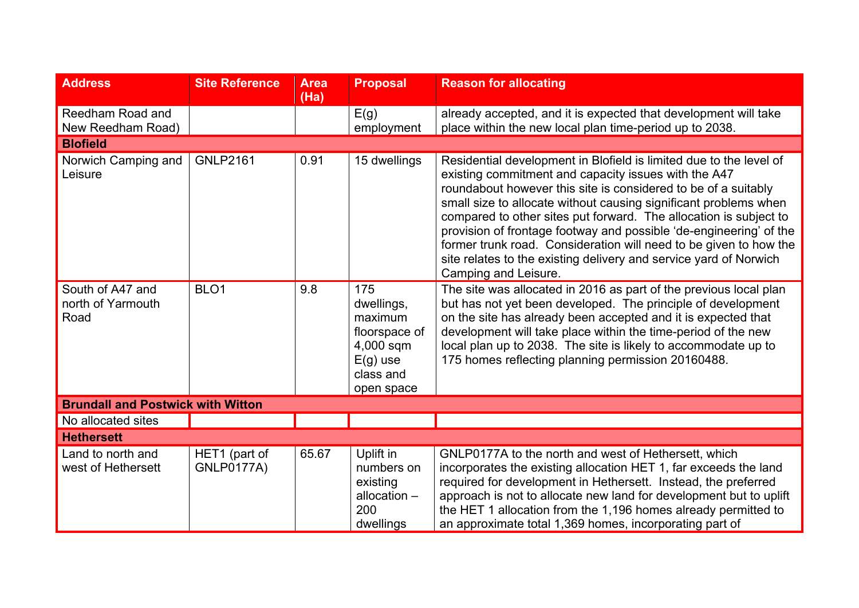| <b>Address</b>                                | <b>Site Reference</b>              | <b>Area</b><br>(Ha) | <b>Proposal</b>                                                                                     | <b>Reason for allocating</b>                                                                                                                                                                                                                                                                                                                                                                                                                                                                                                                                                  |  |
|-----------------------------------------------|------------------------------------|---------------------|-----------------------------------------------------------------------------------------------------|-------------------------------------------------------------------------------------------------------------------------------------------------------------------------------------------------------------------------------------------------------------------------------------------------------------------------------------------------------------------------------------------------------------------------------------------------------------------------------------------------------------------------------------------------------------------------------|--|
| Reedham Road and<br>New Reedham Road)         |                                    |                     | E(g)<br>employment                                                                                  | already accepted, and it is expected that development will take<br>place within the new local plan time-period up to 2038.                                                                                                                                                                                                                                                                                                                                                                                                                                                    |  |
| <b>Blofield</b>                               |                                    |                     |                                                                                                     |                                                                                                                                                                                                                                                                                                                                                                                                                                                                                                                                                                               |  |
| Norwich Camping and<br>Leisure                | <b>GNLP2161</b>                    | 0.91                | 15 dwellings                                                                                        | Residential development in Blofield is limited due to the level of<br>existing commitment and capacity issues with the A47<br>roundabout however this site is considered to be of a suitably<br>small size to allocate without causing significant problems when<br>compared to other sites put forward. The allocation is subject to<br>provision of frontage footway and possible 'de-engineering' of the<br>former trunk road. Consideration will need to be given to how the<br>site relates to the existing delivery and service yard of Norwich<br>Camping and Leisure. |  |
| South of A47 and<br>north of Yarmouth<br>Road | BLO <sub>1</sub>                   | 9.8                 | 175<br>dwellings,<br>maximum<br>floorspace of<br>4,000 sqm<br>$E(g)$ use<br>class and<br>open space | The site was allocated in 2016 as part of the previous local plan<br>but has not yet been developed. The principle of development<br>on the site has already been accepted and it is expected that<br>development will take place within the time-period of the new<br>local plan up to 2038. The site is likely to accommodate up to<br>175 homes reflecting planning permission 20160488.                                                                                                                                                                                   |  |
| <b>Brundall and Postwick with Witton</b>      |                                    |                     |                                                                                                     |                                                                                                                                                                                                                                                                                                                                                                                                                                                                                                                                                                               |  |
| No allocated sites                            |                                    |                     |                                                                                                     |                                                                                                                                                                                                                                                                                                                                                                                                                                                                                                                                                                               |  |
| <b>Hethersett</b>                             |                                    |                     |                                                                                                     |                                                                                                                                                                                                                                                                                                                                                                                                                                                                                                                                                                               |  |
| Land to north and<br>west of Hethersett       | HET1 (part of<br><b>GNLP0177A)</b> | 65.67               | Uplift in<br>numbers on<br>existing<br>allocation $-$<br>200<br>dwellings                           | GNLP0177A to the north and west of Hethersett, which<br>incorporates the existing allocation HET 1, far exceeds the land<br>required for development in Hethersett. Instead, the preferred<br>approach is not to allocate new land for development but to uplift<br>the HET 1 allocation from the 1,196 homes already permitted to<br>an approximate total 1,369 homes, incorporating part of                                                                                                                                                                                 |  |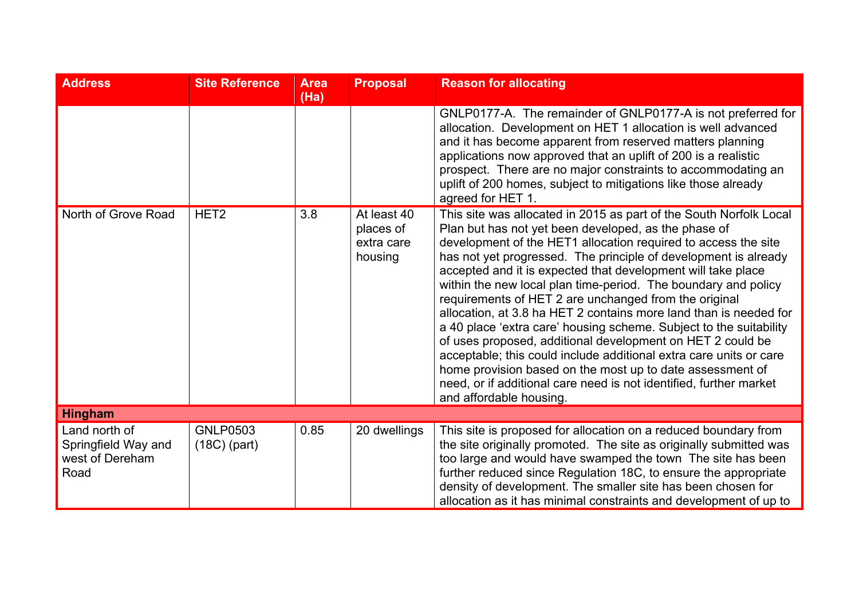| <b>Address</b>                                                  | <b>Site Reference</b>             | <b>Area</b><br>(Ha) | <b>Proposal</b>                                   | <b>Reason for allocating</b>                                                                                                                                                                                                                                                                                                                                                                                                                                                                                                                                                                                                                                                                                                                                                                                                                                                                            |
|-----------------------------------------------------------------|-----------------------------------|---------------------|---------------------------------------------------|---------------------------------------------------------------------------------------------------------------------------------------------------------------------------------------------------------------------------------------------------------------------------------------------------------------------------------------------------------------------------------------------------------------------------------------------------------------------------------------------------------------------------------------------------------------------------------------------------------------------------------------------------------------------------------------------------------------------------------------------------------------------------------------------------------------------------------------------------------------------------------------------------------|
|                                                                 |                                   |                     |                                                   | GNLP0177-A. The remainder of GNLP0177-A is not preferred for<br>allocation. Development on HET 1 allocation is well advanced<br>and it has become apparent from reserved matters planning<br>applications now approved that an uplift of 200 is a realistic<br>prospect. There are no major constraints to accommodating an<br>uplift of 200 homes, subject to mitigations like those already<br>agreed for HET 1.                                                                                                                                                                                                                                                                                                                                                                                                                                                                                      |
| North of Grove Road                                             | HET <sub>2</sub>                  | 3.8                 | At least 40<br>places of<br>extra care<br>housing | This site was allocated in 2015 as part of the South Norfolk Local<br>Plan but has not yet been developed, as the phase of<br>development of the HET1 allocation required to access the site<br>has not yet progressed. The principle of development is already<br>accepted and it is expected that development will take place<br>within the new local plan time-period. The boundary and policy<br>requirements of HET 2 are unchanged from the original<br>allocation, at 3.8 ha HET 2 contains more land than is needed for<br>a 40 place 'extra care' housing scheme. Subject to the suitability<br>of uses proposed, additional development on HET 2 could be<br>acceptable; this could include additional extra care units or care<br>home provision based on the most up to date assessment of<br>need, or if additional care need is not identified, further market<br>and affordable housing. |
| <b>Hingham</b>                                                  |                                   |                     |                                                   |                                                                                                                                                                                                                                                                                                                                                                                                                                                                                                                                                                                                                                                                                                                                                                                                                                                                                                         |
| Land north of<br>Springfield Way and<br>west of Dereham<br>Road | <b>GNLP0503</b><br>$(18C)$ (part) | 0.85                | 20 dwellings                                      | This site is proposed for allocation on a reduced boundary from<br>the site originally promoted. The site as originally submitted was<br>too large and would have swamped the town The site has been<br>further reduced since Regulation 18C, to ensure the appropriate<br>density of development. The smaller site has been chosen for<br>allocation as it has minimal constraints and development of up to                                                                                                                                                                                                                                                                                                                                                                                                                                                                                            |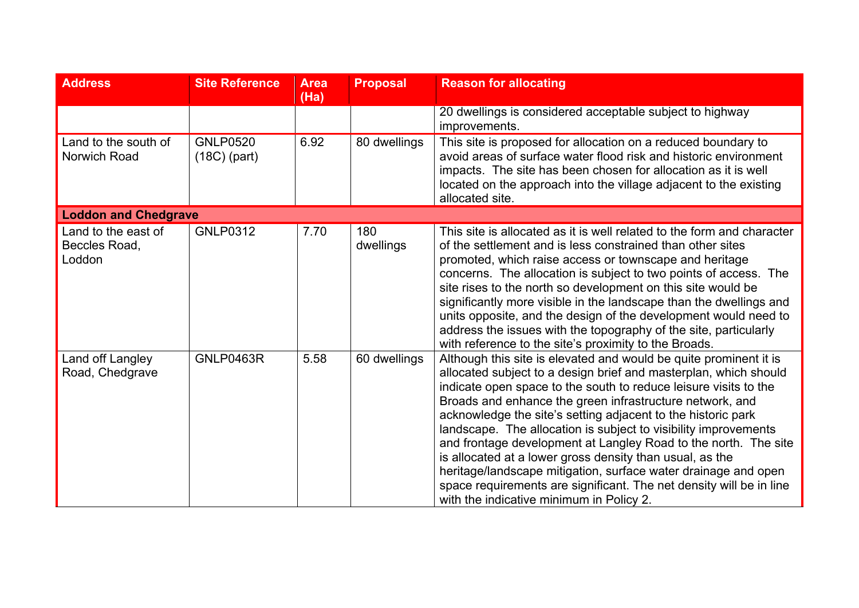| <b>Address</b>                                 | <b>Site Reference</b>             | <b>Area</b><br>(Ha) | <b>Proposal</b>  | <b>Reason for allocating</b>                                                                                                                                                                                                                                                                                                                                                                                                                                                                                                                                                                                                                                                                                                 |
|------------------------------------------------|-----------------------------------|---------------------|------------------|------------------------------------------------------------------------------------------------------------------------------------------------------------------------------------------------------------------------------------------------------------------------------------------------------------------------------------------------------------------------------------------------------------------------------------------------------------------------------------------------------------------------------------------------------------------------------------------------------------------------------------------------------------------------------------------------------------------------------|
|                                                |                                   |                     |                  | 20 dwellings is considered acceptable subject to highway<br>improvements.                                                                                                                                                                                                                                                                                                                                                                                                                                                                                                                                                                                                                                                    |
| Land to the south of<br>Norwich Road           | <b>GNLP0520</b><br>$(18C)$ (part) | 6.92                | 80 dwellings     | This site is proposed for allocation on a reduced boundary to<br>avoid areas of surface water flood risk and historic environment<br>impacts. The site has been chosen for allocation as it is well<br>located on the approach into the village adjacent to the existing<br>allocated site.                                                                                                                                                                                                                                                                                                                                                                                                                                  |
| <b>Loddon and Chedgrave</b>                    |                                   |                     |                  |                                                                                                                                                                                                                                                                                                                                                                                                                                                                                                                                                                                                                                                                                                                              |
| Land to the east of<br>Beccles Road,<br>Loddon | <b>GNLP0312</b>                   | 7.70                | 180<br>dwellings | This site is allocated as it is well related to the form and character<br>of the settlement and is less constrained than other sites<br>promoted, which raise access or townscape and heritage<br>concerns. The allocation is subject to two points of access. The<br>site rises to the north so development on this site would be<br>significantly more visible in the landscape than the dwellings and<br>units opposite, and the design of the development would need to<br>address the issues with the topography of the site, particularly<br>with reference to the site's proximity to the Broads.                                                                                                                     |
| Land off Langley<br>Road, Chedgrave            | <b>GNLP0463R</b>                  | 5.58                | 60 dwellings     | Although this site is elevated and would be quite prominent it is<br>allocated subject to a design brief and masterplan, which should<br>indicate open space to the south to reduce leisure visits to the<br>Broads and enhance the green infrastructure network, and<br>acknowledge the site's setting adjacent to the historic park<br>landscape. The allocation is subject to visibility improvements<br>and frontage development at Langley Road to the north. The site<br>is allocated at a lower gross density than usual, as the<br>heritage/landscape mitigation, surface water drainage and open<br>space requirements are significant. The net density will be in line<br>with the indicative minimum in Policy 2. |